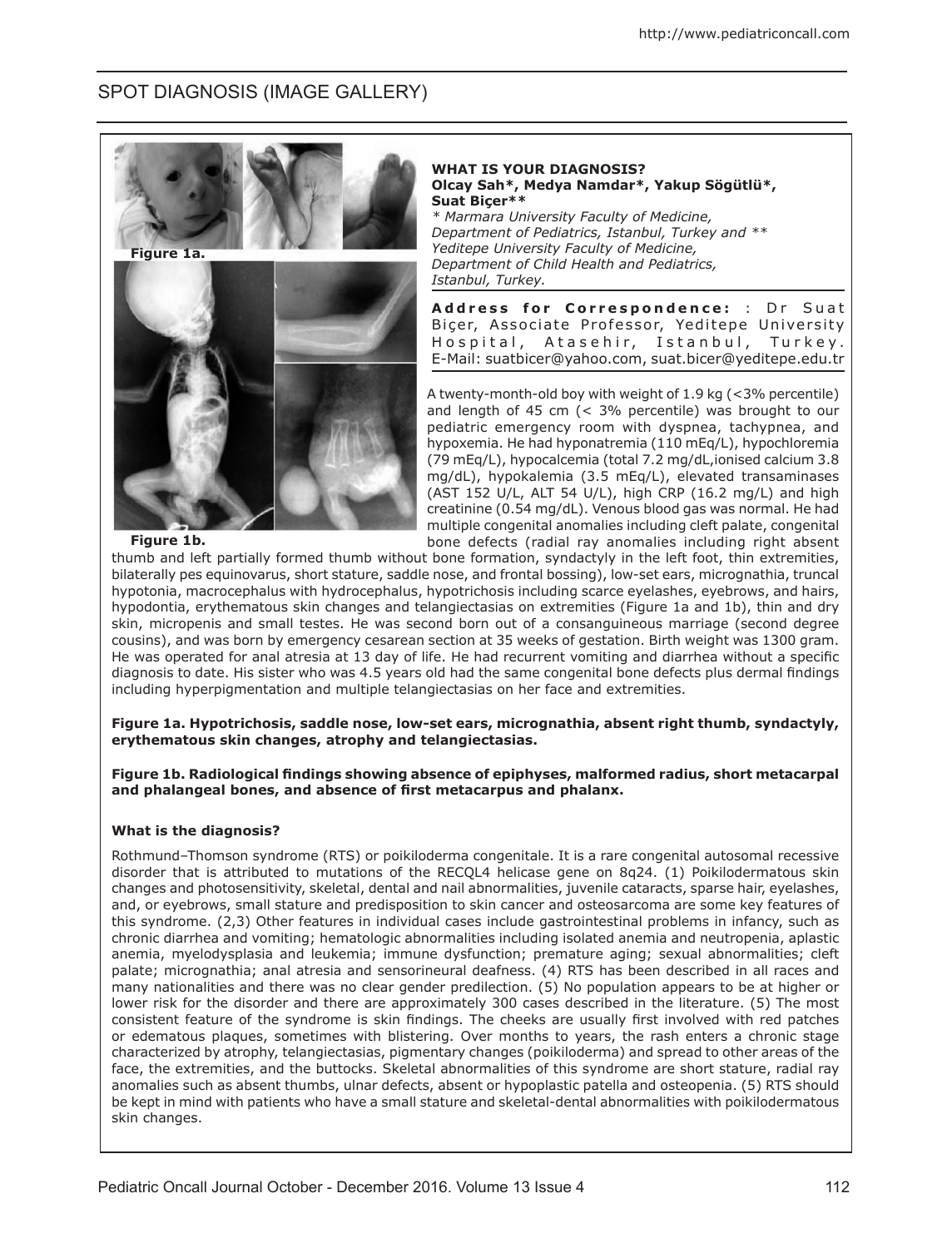## SPOT DIAGNOSIS (IMAGE GALLERY)



**WHAT IS YOUR DIAGNOSIS? Olcay Sah\*, Medya Namdar\*, Yakup Sögütlü\*, Suat Biçer\*\***  *\* Marmara University Faculty of Medicine, Department of Pediatrics, Istanbul, Turkey and \*\* Yeditepe University Faculty of Medicine,* 

*Department of Child Health and Pediatrics, Istanbul, Turkey.* 

Address for Correspondence: : Dr Suat Biçer, Associate Professor, Yeditepe University Hospital, Atasehir, Istanbul, Turkey. E-Mail: suatbicer@yahoo.com, suat.bicer@yeditepe.edu.tr

A twenty-month-old boy with weight of 1.9 kg (<3% percentile) and length of 45 cm (< 3% percentile) was brought to our pediatric emergency room with dyspnea, tachypnea, and hypoxemia. He had hyponatremia (110 mEq/L), hypochloremia (79 mEq/L), hypocalcemia (total 7.2 mg/dL,ionised calcium 3.8 mg/dL), hypokalemia (3.5 mEq/L), elevated transaminases (AST 152 U/L, ALT 54 U/L), high CRP (16.2 mg/L) and high creatinine (0.54 mg/dL). Venous blood gas was normal. He had multiple congenital anomalies including cleft palate, congenital bone defects (radial ray anomalies including right absent

## **Figure 1b.**

thumb and left partially formed thumb without bone formation, syndactyly in the left foot, thin extremities, bilaterally pes equinovarus, short stature, saddle nose, and frontal bossing), low-set ears, micrognathia, truncal hypotonia, macrocephalus with hydrocephalus, hypotrichosis including scarce eyelashes, eyebrows, and hairs, hypodontia, erythematous skin changes and telangiectasias on extremities (Figure 1a and 1b), thin and dry skin, micropenis and small testes. He was second born out of a consanguineous marriage (second degree cousins), and was born by emergency cesarean section at 35 weeks of gestation. Birth weight was 1300 gram. He was operated for anal atresia at 13 day of life. He had recurrent vomiting and diarrhea without a specific diagnosis to date. His sister who was 4.5 years old had the same congenital bone defects plus dermal findings including hyperpigmentation and multiple telangiectasias on her face and extremities.

**Figure 1a. Hypotrichosis, saddle nose, low-set ears, micrognathia, absent right thumb, syndactyly, erythematous skin changes, atrophy and telangiectasias.**

**Figure 1b. Radiological findings showing absence of epiphyses, malformed radius, short metacarpal and phalangeal bones, and absence of first metacarpus and phalanx.**

## **What is the diagnosis?**

Rothmund–Thomson syndrome (RTS) or poikiloderma congenitale. It is a rare congenital autosomal recessive disorder that is attributed to mutations of the RECQL4 helicase gene on 8q24. (1) Poikilodermatous skin changes and photosensitivity, skeletal, dental and nail abnormalities, juvenile cataracts, sparse hair, eyelashes, and, or eyebrows, small stature and predisposition to skin cancer and osteosarcoma are some key features of this syndrome. (2,3) Other features in individual cases include gastrointestinal problems in infancy, such as chronic diarrhea and vomiting; hematologic abnormalities including isolated anemia and neutropenia, aplastic anemia, myelodysplasia and leukemia; immune dysfunction; premature aging; sexual abnormalities; cleft palate; micrognathia; anal atresia and sensorineural deafness. (4) RTS has been described in all races and many nationalities and there was no clear gender predilection. (5) No population appears to be at higher or lower risk for the disorder and there are approximately 300 cases described in the literature. (5) The most consistent feature of the syndrome is skin findings. The cheeks are usually first involved with red patches or edematous plaques, sometimes with blistering. Over months to years, the rash enters a chronic stage characterized by atrophy, telangiectasias, pigmentary changes (poikiloderma) and spread to other areas of the face, the extremities, and the buttocks. Skeletal abnormalities of this syndrome are short stature, radial ray anomalies such as absent thumbs, ulnar defects, absent or hypoplastic patella and osteopenia. (5) RTS should be kept in mind with patients who have a small stature and skeletal-dental abnormalities with poikilodermatous skin changes.